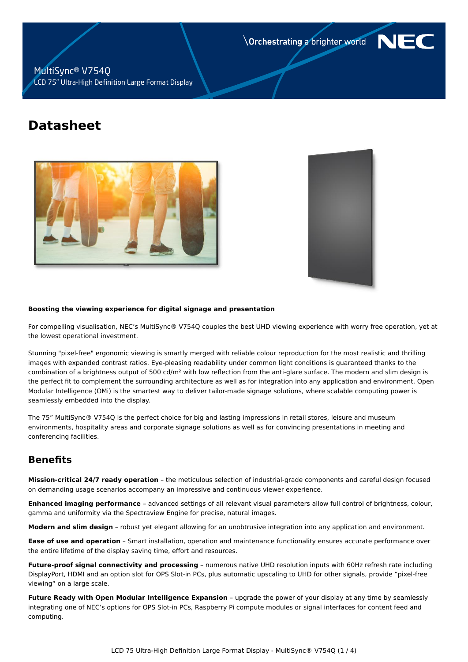**Orchestrating a brighter world** 



MultiSync® V754Q LCD 75" Ultra-High Definition Large Format Display

# **Datasheet**





#### **Boosting the viewing experience for digital signage and presentation**

For compelling visualisation, NEC's MultiSync® V754Q couples the best UHD viewing experience with worry free operation, yet at the lowest operational investment.

Stunning "pixel-free" ergonomic viewing is smartly merged with reliable colour reproduction for the most realistic and thrilling images with expanded contrast ratios. Eye-pleasing readability under common light conditions is guaranteed thanks to the combination of a brightness output of 500 cd/m² with low reflection from the anti-glare surface. The modern and slim design is the perfect fit to complement the surrounding architecture as well as for integration into any application and environment. Open Modular Intelligence (OMi) is the smartest way to deliver tailor-made signage solutions, where scalable computing power is seamlessly embedded into the display.

The 75" MultiSync® V754Q is the perfect choice for big and lasting impressions in retail stores, leisure and museum environments, hospitality areas and corporate signage solutions as well as for convincing presentations in meeting and conferencing facilities.

## **Benefits**

**Mission-critical 24/7 ready operation** – the meticulous selection of industrial-grade components and careful design focused on demanding usage scenarios accompany an impressive and continuous viewer experience.

**Enhanced imaging performance** – advanced settings of all relevant visual parameters allow full control of brightness, colour, gamma and uniformity via the Spectraview Engine for precise, natural images.

**Modern and slim design** – robust yet elegant allowing for an unobtrusive integration into any application and environment.

**Ease of use and operation** – Smart installation, operation and maintenance functionality ensures accurate performance over the entire lifetime of the display saving time, effort and resources.

**Future-proof signal connectivity and processing** – numerous native UHD resolution inputs with 60Hz refresh rate including DisplayPort, HDMI and an option slot for OPS Slot-in PCs, plus automatic upscaling to UHD for other signals, provide "pixel-free viewing" on a large scale.

**Future Ready with Open Modular Intelligence Expansion** – upgrade the power of your display at any time by seamlessly integrating one of NEC's options for OPS Slot-in PCs, Raspberry Pi compute modules or signal interfaces for content feed and computing.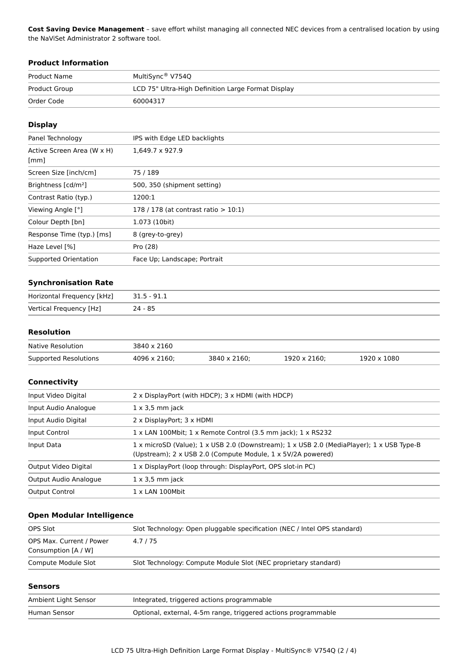**Cost Saving Device Management** – save effort whilst managing all connected NEC devices from a centralised location by using the NaViSet Administrator 2 software tool.

## **Product Information**

| Product Name  | MultiSync® V754Q                                   |
|---------------|----------------------------------------------------|
| Product Group | LCD 75" Ultra-High Definition Large Format Display |
| Order Code    | 60004317                                           |

## **Display**

| Panel Technology                                   | IPS with Edge LED backlights            |
|----------------------------------------------------|-----------------------------------------|
| Active Screen Area (W x H)<br>$\lceil$ mm $\rceil$ | $1.649.7 \times 927.9$                  |
| Screen Size [inch/cm]                              | 75/189                                  |
| Brightness [cd/m <sup>2</sup> ]                    | 500, 350 (shipment setting)             |
| Contrast Ratio (typ.)                              | 1200:1                                  |
| Viewing Angle [°]                                  | 178 / 178 (at contrast ratio $> 10:1$ ) |
| Colour Depth [bn]                                  | 1.073 (10bit)                           |
| Response Time (typ.) [ms]                          | 8 (grey-to-grey)                        |
| Haze Level [%]                                     | Pro (28)                                |
| Supported Orientation                              | Face Up; Landscape; Portrait            |

## **Synchronisation Rate**

| Horizontal Frequency [kHz] | 31.5 - 91.1 |
|----------------------------|-------------|
| Vertical Frequency [Hz]    | 24 - 85     |

## **Resolution**

| Native Resolution     | 3840 x 2160  |              |              |             |
|-----------------------|--------------|--------------|--------------|-------------|
| Supported Resolutions | 4096 x 2160: | 3840 x 2160: | 1920 x 2160: | 1920 x 1080 |

## **Connectivity**

| Input Video Digital   | 2 x DisplayPort (with HDCP); 3 x HDMI (with HDCP)                                                                                                       |
|-----------------------|---------------------------------------------------------------------------------------------------------------------------------------------------------|
| Input Audio Analogue  | $1 \times 3.5$ mm jack                                                                                                                                  |
| Input Audio Digital   | 2 x DisplayPort; 3 x HDMI                                                                                                                               |
| Input Control         | 1 x LAN 100Mbit; 1 x Remote Control (3.5 mm jack); 1 x RS232                                                                                            |
| Input Data            | 1 x microSD (Value); 1 x USB 2.0 (Downstream); 1 x USB 2.0 (MediaPlayer); 1 x USB Type-B<br>(Upstream); 2 x USB 2.0 (Compute Module, 1 x 5V/2A powered) |
| Output Video Digital  | 1 x DisplayPort (loop through: DisplayPort, OPS slot-in PC)                                                                                             |
| Output Audio Analogue | $1 \times 3.5$ mm jack                                                                                                                                  |
| <b>Output Control</b> | $1 \times$ LAN 100Mbit                                                                                                                                  |
|                       |                                                                                                                                                         |

## **Open Modular Intelligence**

| OPS Slot                                        | Slot Technology: Open pluggable specification (NEC / Intel OPS standard) |
|-------------------------------------------------|--------------------------------------------------------------------------|
| OPS Max. Current / Power<br>Consumption [A / W] | 4.7/75                                                                   |
| Compute Module Slot                             | Slot Technology: Compute Module Slot (NEC proprietary standard)          |

#### **Sensors**

| Ambient Light Sensor | Integrated, triggered actions programmable                     |
|----------------------|----------------------------------------------------------------|
| Human Sensor         | Optional, external, 4-5m range, triggered actions programmable |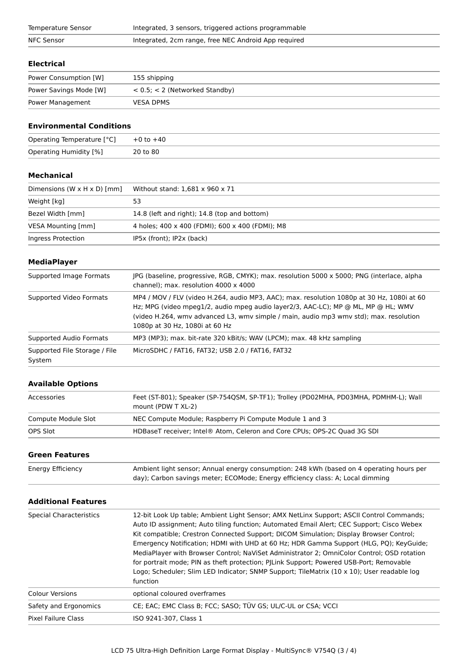| Temperature Sensor | Integrated, 3 sensors, triggered actions programmable |
|--------------------|-------------------------------------------------------|
| NFC Sensor         | Integrated, 2cm range, free NEC Android App required  |

#### **Electrical**

| Power Consumption [W]  | 155 shipping                        |
|------------------------|-------------------------------------|
| Power Savings Mode [W] | $< 0.5$ ; $< 2$ (Networked Standby) |
| Power Management       | <b>VESA DPMS</b>                    |

## **Environmental Conditions**

| Operating Temperature [°C] | $+0$ to $+40$ |
|----------------------------|---------------|
| Operating Humidity [%]     | 20 to 80      |

## **Mechanical**

| Dimensions (W $\times$ H $\times$ D) [mm] | Without stand: 1,681 x 960 x 71                 |  |
|-------------------------------------------|-------------------------------------------------|--|
| Weight [kg]                               | 53                                              |  |
| Bezel Width [mm]                          | 14.8 (left and right); 14.8 (top and bottom)    |  |
| VESA Mounting [mm]                        | 4 holes; 400 x 400 (FDMI); 600 x 400 (FDMI); M8 |  |
| Ingress Protection                        | IP5x (front); IP2x (back)                       |  |

## **MediaPlayer**

| Supported Image Formats                 | JPG (baseline, progressive, RGB, CMYK); max. resolution 5000 x 5000; PNG (interlace, alpha<br>channel); max. resolution 4000 x 4000                                                                                                                                                                        |
|-----------------------------------------|------------------------------------------------------------------------------------------------------------------------------------------------------------------------------------------------------------------------------------------------------------------------------------------------------------|
| Supported Video Formats                 | MP4 / MOV / FLV (video H.264, audio MP3, AAC); max. resolution 1080p at 30 Hz, 1080i at 60<br>Hz; MPG (video mpeg1/2, audio mpeg audio layer2/3, AAC-LC); MP @ ML, MP @ HL; WMV<br>(video H.264, wmy advanced L3, wmy simple / main, audio mp3 wmy std); max. resolution<br>1080p at 30 Hz, 1080i at 60 Hz |
| Supported Audio Formats                 | MP3 (MP3); max. bit-rate 320 kBit/s; WAV (LPCM); max. 48 kHz sampling                                                                                                                                                                                                                                      |
| Supported File Storage / File<br>System | MicroSDHC / FAT16, FAT32; USB 2.0 / FAT16, FAT32                                                                                                                                                                                                                                                           |

## **Available Options**

| Accessories         | Feet (ST-801); Speaker (SP-754QSM, SP-TF1); Trolley (PD02MHA, PD03MHA, PDMHM-L); Wall<br>mount (PDW T XL-2) |
|---------------------|-------------------------------------------------------------------------------------------------------------|
| Compute Module Slot | NEC Compute Module; Raspberry Pi Compute Module 1 and 3                                                     |
| OPS Slot            | HDBaseT receiver; Intel® Atom, Celeron and Core CPUs; OPS-2C Quad 3G SDI                                    |

## **Green Features**

| Energy Efficiency | Ambient light sensor; Annual energy consumption: 248 kWh (based on 4 operating hours per |
|-------------------|------------------------------------------------------------------------------------------|
|                   | day); Carbon savings meter; ECOMode; Energy efficiency class: A; Local dimming           |

## **Additional Features**

| <b>Special Characteristics</b> | 12-bit Look Up table; Ambient Light Sensor; AMX NetLinx Support; ASCII Control Commands;<br>Auto ID assignment; Auto tiling function; Automated Email Alert; CEC Support; Cisco Webex<br>Kit compatible; Crestron Connected Support; DICOM Simulation; Display Browser Control;<br>Emergency Notification; HDMI with UHD at 60 Hz; HDR Gamma Support (HLG, PQ); KeyGuide;<br>MediaPlayer with Browser Control; NaViSet Administrator 2; OmniColor Control; OSD rotation<br>for portrait mode; PIN as theft protection; PJLink Support; Powered USB-Port; Removable<br>Logo; Scheduler; Slim LED Indicator; SNMP Support; TileMatrix (10 x 10); User readable log<br>function |  |
|--------------------------------|------------------------------------------------------------------------------------------------------------------------------------------------------------------------------------------------------------------------------------------------------------------------------------------------------------------------------------------------------------------------------------------------------------------------------------------------------------------------------------------------------------------------------------------------------------------------------------------------------------------------------------------------------------------------------|--|
| <b>Colour Versions</b>         | optional coloured overframes                                                                                                                                                                                                                                                                                                                                                                                                                                                                                                                                                                                                                                                 |  |
| Safety and Ergonomics          | CE; EAC; EMC Class B; FCC; SASO; TÜV GS; UL/C-UL or CSA; VCCI                                                                                                                                                                                                                                                                                                                                                                                                                                                                                                                                                                                                                |  |
| Pixel Failure Class            | ISO 9241-307. Class 1                                                                                                                                                                                                                                                                                                                                                                                                                                                                                                                                                                                                                                                        |  |